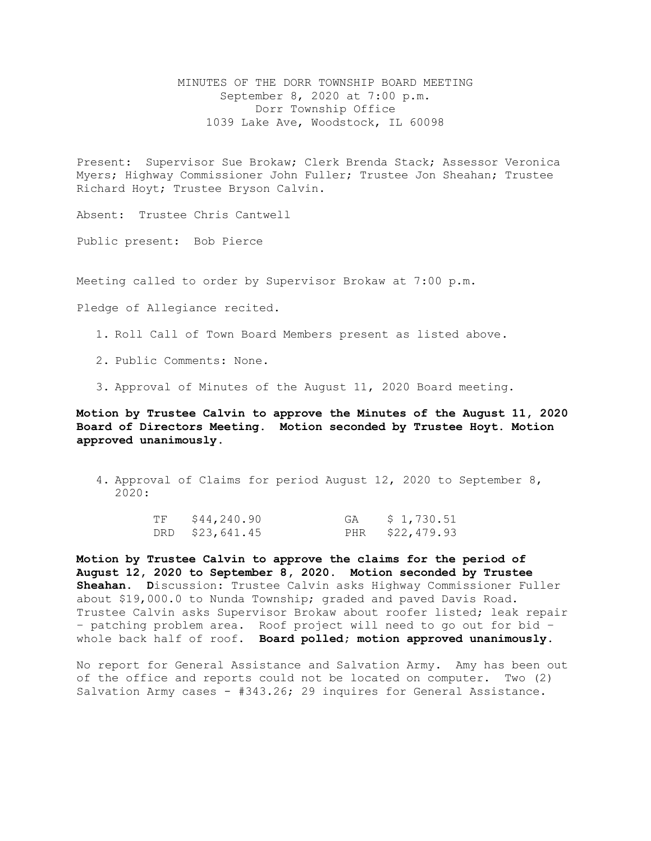MINUTES OF THE DORR TOWNSHIP BOARD MEETING September 8, 2020 at 7:00 p.m. Dorr Township Office 1039 Lake Ave, Woodstock, IL 60098

Present: Supervisor Sue Brokaw; Clerk Brenda Stack; Assessor Veronica Myers; Highway Commissioner John Fuller; Trustee Jon Sheahan; Trustee Richard Hoyt; Trustee Bryson Calvin.

Absent: Trustee Chris Cantwell

Public present: Bob Pierce

Meeting called to order by Supervisor Brokaw at 7:00 p.m.

Pledge of Allegiance recited.

- 1. Roll Call of Town Board Members present as listed above.
- 2. Public Comments: None.
- 3. Approval of Minutes of the August 11, 2020 Board meeting.

**Motion by Trustee Calvin to approve the Minutes of the August 11, 2020 Board of Directors Meeting. Motion seconded by Trustee Hoyt. Motion approved unanimously.** 

4. Approval of Claims for period August 12, 2020 to September 8, 2020:

| TF | \$44,240.90     | GA | \$ 1,730.51     |
|----|-----------------|----|-----------------|
|    | DRD \$23,641.45 |    | PHR \$22,479.93 |

**Motion by Trustee Calvin to approve the claims for the period of August 12, 2020 to September 8, 2020. Motion seconded by Trustee Sheahan. D**iscussion: Trustee Calvin asks Highway Commissioner Fuller about \$19,000.0 to Nunda Township; graded and paved Davis Road. Trustee Calvin asks Supervisor Brokaw about roofer listed; leak repair – patching problem area. Roof project will need to go out for bid – whole back half of roof. **Board polled; motion approved unanimously.**

No report for General Assistance and Salvation Army. Amy has been out of the office and reports could not be located on computer. Two (2) Salvation Army cases - #343.26; 29 inquires for General Assistance.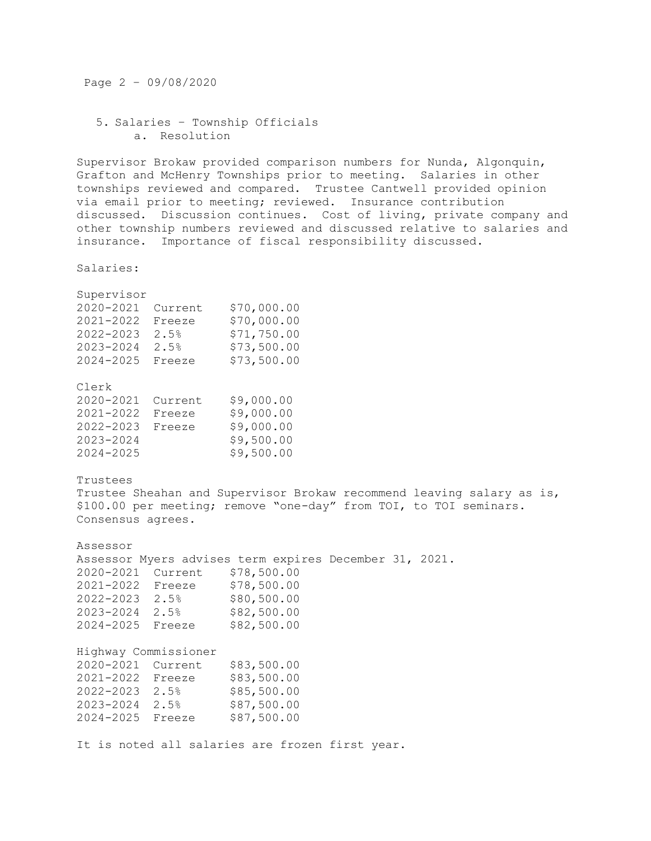Page 2 – 09/08/2020

## 5. Salaries – Township Officials a. Resolution

Supervisor Brokaw provided comparison numbers for Nunda, Algonquin, Grafton and McHenry Townships prior to meeting. Salaries in other townships reviewed and compared. Trustee Cantwell provided opinion via email prior to meeting; reviewed. Insurance contribution discussed. Discussion continues. Cost of living, private company and other township numbers reviewed and discussed relative to salaries and insurance. Importance of fiscal responsibility discussed.

Salaries:

| Supervisor<br>2020-2021<br>$2022 - 2023$ 2.5%<br>2024-2025                                                                                                                  | Current \$70,000.00<br>2021-2022 Freeze \$70,000.00<br>2023-2024 2.5% \$73,500.00<br>Freeze | \$71,750.00<br>\$73,500.00                             |  |  |
|-----------------------------------------------------------------------------------------------------------------------------------------------------------------------------|---------------------------------------------------------------------------------------------|--------------------------------------------------------|--|--|
| Clerk<br>2020-2021<br>2021-2022<br>2023-2024<br>$2024 - 2025$                                                                                                               | Current<br>Freeze<br>2022-2023 Freeze \$9,000.00                                            | \$9,000.00<br>\$9,000.00<br>\$9,500.00<br>\$9,500.00   |  |  |
| Trustees<br>Trustee Sheahan and Supervisor Brokaw recommend leaving salary as is,<br>\$100.00 per meeting; remove "one-day" from TOI, to TOI seminars.<br>Consensus agrees. |                                                                                             |                                                        |  |  |
| Assessor                                                                                                                                                                    |                                                                                             |                                                        |  |  |
|                                                                                                                                                                             |                                                                                             | Assessor Myers advises term expires December 31, 2021. |  |  |
|                                                                                                                                                                             | 2020-2021 Current \$78,500.00                                                               |                                                        |  |  |
|                                                                                                                                                                             | 2021-2022 Freeze \$78,500.00                                                                |                                                        |  |  |
| $2022 - 2023$ 2.5%                                                                                                                                                          |                                                                                             | \$80,500.00                                            |  |  |
|                                                                                                                                                                             | 2023-2024 2.5% \$82,500.00                                                                  |                                                        |  |  |
|                                                                                                                                                                             | 2024-2025 Freeze \$82,500.00                                                                |                                                        |  |  |
| Highway Commissioner                                                                                                                                                        |                                                                                             |                                                        |  |  |
| 2020-2021 Current                                                                                                                                                           |                                                                                             | \$83,500.00                                            |  |  |
|                                                                                                                                                                             | 2021-2022 Freeze \$83,500.00                                                                |                                                        |  |  |
|                                                                                                                                                                             | 2022-2023 2.5% \$85,500.00                                                                  |                                                        |  |  |
|                                                                                                                                                                             | 2023-2024 2.5%                                                                              | \$87,500.00                                            |  |  |
| 2024-2025 Freeze                                                                                                                                                            |                                                                                             | \$87,500.00                                            |  |  |
|                                                                                                                                                                             |                                                                                             |                                                        |  |  |

It is noted all salaries are frozen first year.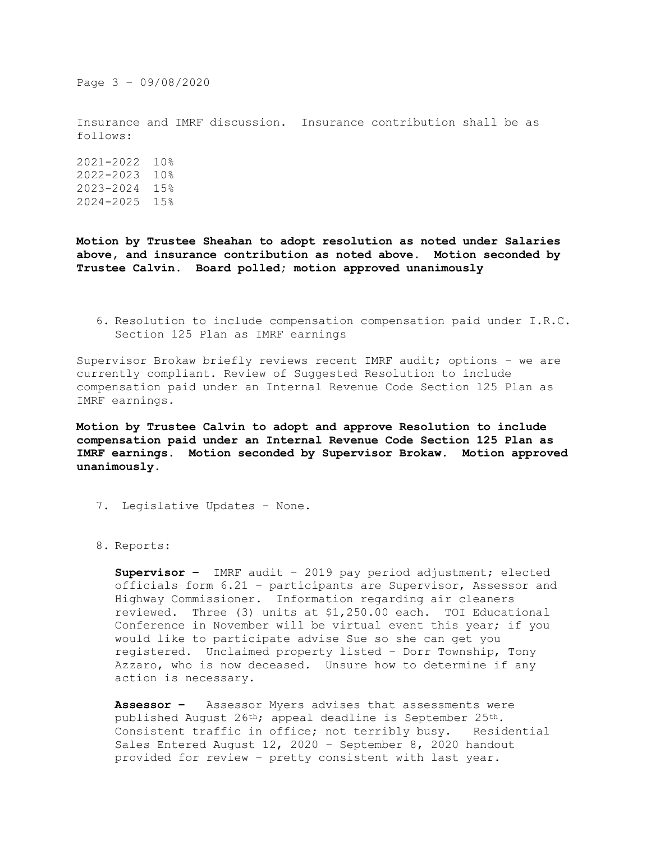Page 3 – 09/08/2020

Insurance and IMRF discussion. Insurance contribution shall be as follows:

2021-2022 10% 2022-2023 10% 2023-2024 15% 2024-2025 15%

**Motion by Trustee Sheahan to adopt resolution as noted under Salaries above, and insurance contribution as noted above. Motion seconded by Trustee Calvin. Board polled; motion approved unanimously**

6. Resolution to include compensation compensation paid under I.R.C. Section 125 Plan as IMRF earnings

Supervisor Brokaw briefly reviews recent IMRF audit; options – we are currently compliant. Review of Suggested Resolution to include compensation paid under an Internal Revenue Code Section 125 Plan as IMRF earnings.

**Motion by Trustee Calvin to adopt and approve Resolution to include compensation paid under an Internal Revenue Code Section 125 Plan as IMRF earnings. Motion seconded by Supervisor Brokaw. Motion approved unanimously.**

- 7. Legislative Updates None.
- 8. Reports:

**Supervisor –** IMRF audit – 2019 pay period adjustment; elected officials form 6.21 – participants are Supervisor, Assessor and Highway Commissioner. Information regarding air cleaners reviewed. Three (3) units at \$1,250.00 each. TOI Educational Conference in November will be virtual event this year; if you would like to participate advise Sue so she can get you registered. Unclaimed property listed – Dorr Township, Tony Azzaro, who is now deceased. Unsure how to determine if any action is necessary.

**Assessor –** Assessor Myers advises that assessments were published August 26th; appeal deadline is September 25th. Consistent traffic in office; not terribly busy. Residential Sales Entered August 12, 2020 – September 8, 2020 handout provided for review – pretty consistent with last year.